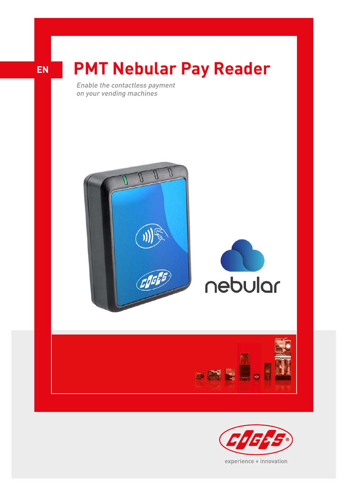

## **PMT Nebular Pay Reader**

Enable the contactless payment on your vending machines